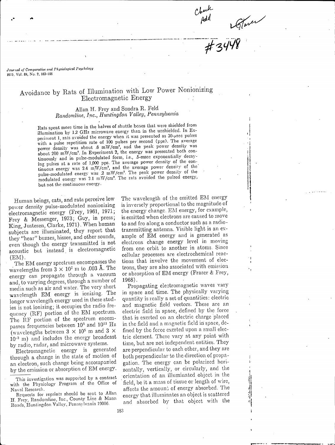*Journal of Comparative and Physiological Psychology* 1975, Vol. 89, No. 2, 183-188

- ·- ··- -------------··--·------

, .. ..

# Avoidance by Rats of Illumination with Low Power Nonionizing Electromagnetic Energy

Allan H. Frey and Sondra R. Feld *Randomhne, Inc., Huntingdon Valley, Pennsylvam:a* 

Rats spent more time in the halves of shuttle boxes that were shielded from illumination by 12 GHz microwave energy than in the unshielded. In Experiment 1, rats avoided the energy when it was presented as 30-usec pulses with a pulse repetition rate of 100 pulses per second (pps). The average power density was about .6 mW/cm<sup>2</sup>, and the peak power density was about 200 mW/cm<sup>2</sup>. In Experiment 2, the energy was presented both continuously and in pulse-modulated form, i.e., .5-msec exponentially decaying pulses at a rate of 1,000 pps. The average power density of the continuous energy was 2.4 mW/cm<sup>2</sup>, and the average power density of the pulse-modulated energy was 2 mW/cm<sup>2</sup>. The peak power density of the pulse-modulated energy was 2 mW/cm<sup>2</sup>. The peak power density of the modulated energy was 2.1 mW/cm<sup>2</sup>. The rats avoided the pulsed energy, but not the continuous energy.

Human beings, cats, and rats perceive low power density pulse-modulated nonionizing electromagnetic energy (Frey, 1961, 1971; Frey & Messenger, 1973; Guy, in press; King, Justesen, Clarke, 1971). When human subjects are illuminated, they report that they "hear" buzzes, hisses, and other sounds, even ·though the energy transmitted is not acoustic but instead. is electromagnetic  $(EM).$ 

The EM energy spectrum encompasses the wavelengths from  $3 \times 10^7$  m to .003 Å. The energy can propagate through a vacuum and, to varying degrees, through a number of media such as air and water. The very short wavelength EM energy is ionizing. The longer wavelength energy used in these studies is not ionizing; it occupies the radio frequency (RF) portion of the EM spectrum. The RF portion of the spectrum encompasses frequencies between  $10^{3}$  and  $10^{11}$  Hz (wavelengths between  $3 \times 10^5$  m and  $3 \times$ 10-<sup>3</sup>m) and includes the energy broadcast by radio, radar, and microwave systems.

Electromagnetic energy is generate<sup>d</sup> through a change in the state of motion of an electron, such change being accompanied by the emission or absorption of EM energy.

The wavelength of the emitted *EM* energy is inversely proportional to the magnitude of the energy change. EM energy, for example, is emitted when electrons are caused to move to and fro along a conductor such as a radiotransmitting antenna. Visible light is an example of EM energy and is generated as electrons change energy level in moving from one orbit to another in atoms. Since cellular processes are electrochemical reactions that involve the movement of electrons, they are also associated with emission or absorption of EM energy (Fraser & Frey, 1968).

Propagating electromagnetic waves vary in space and time. The physically varying quantity is really a set of quantities: electric: and magnetic field vectors. These are an electric field in space, defined by the force that is exerted on an electric charge placed in the field and a magnetic field in space, defined by the force exerted upon a small electric element. These vary at any point with time, but are not independent entities. They are perpendicular to each other, and they are both perpendicular to the direction of propagation. The energy can be polarized horizontally, vertically, or circularly, and the orientation of an illuminated object in the field, be it a mass of tissue or length of wire, affects the amount of energy absorbed. The energy that illuminates an object is scattered and absorbed by that object with the

ļ.

I  $\frac{1}{2}$  $\frac{1}{2}$ 

beck<br>Add LGTover

I, I

f

 $\mathbb{R}^+$ 

This investigation was supported by a contract with the Physiology Program of the Office of Naval Research.

Requests for reprints should be sent to Allan H. Frey, Randomline, Inc., County Line & Mann Roads, Huntingdon Valley, Pennsylvania 10006.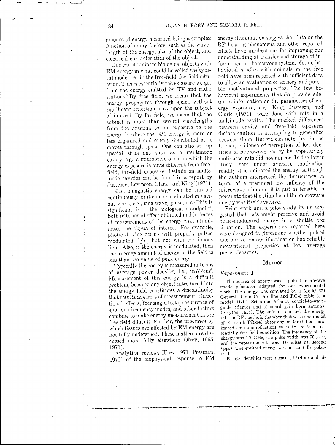amount of energy absorbed being a complex function of many factors, such as the wavelength of the energy, size of the object, and electrical characteristics of the object.

One can illuminate biological objects with EM energy in what could be called the typical mode, i.e., in the free-field, far-field situation. This is essentially the exposure we get from the energy emitted by TV and radio stations.<sup>2</sup> By free field, we mean that the energy propagates through space without significant reflection back upon the subject of interest. By far field, we mean that the subject is more than several wavelengths from the antenna so his exposure to the energy is where the EM energy is more or less organized and evenly distributed as it moves through space. One can also set up special situations such as a multimode cavity, e.g., a microwave oven, in which the energy exposure is quite different from freefield, far-field exposure. Details on multimode cavities can be found in a report by Justesen, Levinson, Clark, and King (1971).

Electromagnetic energy can be emitted continuously, or it can be modulated in various ways, e.g., sine wave, pulse, etc. This is significant from the biological standpoint, both in terms of effect obtained and in terms of measurement of the energy that illuminates the object of interest. For example, photic driving occurs with properly pulsed modulated light, but not with continuous light. Also, if the energy is modulated, then the average amount of energy in the field is less than the value of peak energy.

Typically the energy is measured in terms of average power density, i.e., mW/cm<sup>2</sup>. Measurement of this energy is a difficult problem, because any object introduced into the energy field constitutes a discontinuity that results in errors of measurement. Directional effects, focusing effects, occurrence of spurious frequency modes, and other factors combine to make energy measurement in the free field difficult. Further, the processes by which tissues are affected by EM energy are not fully understood. These matters are discussed more fully elsewhere (Frey, 1965,  $1971$ .

Analytical reviews (Frey, 1971; Presman, 1970) of the biophysical response to EM

energy illumination suggest that data on the RF hearing phenomena and other reported effects have implications for improving our understanding of transfer and storage of information in the nervous system. Yet no behavioral studies with animals in the free field have been reported with sufficient data to allow an evaluation of sensory and possible motivational properties. The few behavioral experiments that do provide adequate information on the parameters of energy exposure, e.g., King, Justesen, and Clark (1971), were done with rats in a multimode cavity. The marked differences between cavity and free-field exposures dictate caution in attempting to generalize between them. But we can note that in the former, evidence of perception of low densities of microwave energy by appetitively motivated rats did not appear. In the latter study, rats under aversive motivation readily discriminated the energy. Although the authors interpreted the discrepancy in terms of a presumed low saliency of the microwave stimulus, it is just as feasible to postulate that the stimulus of the microwave energy was itself aversive.

Prior work and a pilot study by us suggested that rats might perceive and avoid pulse-modulated energy in a shuttle box situation. The experiments reported here were designed to determine whether pulsed microwave energy illumination has reliable motivational properties at low average power densities.

#### METHOD

### Experiment 1

The source of energy was a pulsed microwave triode generator adapted for our experimental work. The energy was conveyed by a Model 874 General Radio Co. air line and RG-8 cable to a model 11-1.1 Scientific Atlanta coaxial-to-waveguide adaptor and standard gain horn antenna. (Slayton, 1955). The antenna emitted the energy into an RF anechoic chamber that was constructed of Eccosorb FR-340 absorbing material that minimized spurious reflections so as to create an essentially free-field condition. The frequency of the energy was 1.2 GHz, the pulse width was 30 usec, and the repetition rate was 100 pulses per second (pps). The emitted energy was horizontally polarized.

Energy densities were measured before and af-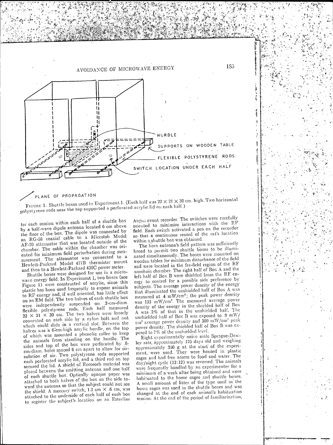

## PLANE OF PROPAGATION

FIGURE 1. Shuttle boxes used in Experiment 1. (Each half was  $22 \times 21 \times 30$  cm. high. Two horizontal polystyrene rods near the top supported a perforated acrylic lid on each half.)

ter each session within each half of a shuttle box by a half-wave dipole antenna located 6 cm above the floor of the box. The dipole was connected by an RG-58 coaxial cable to a Microlab Model AF-20 atlenuator that was located outside of the chamber. The cable within the chamber was oriented for minimum field perturbation during measurement. The attenuator was connected to a Hewlett-Packard Model 477B thermister mount and then to a Hewlett-Packard 430C power meter.

Shuttle boxes were designed for use in a microwave energy field. In Experiment 1, two boxes (see Figure 1) were constructed of acrylic, since this plastic has been used frequently to expose animals to RF energy and, if well oriented, has little effect ou an EM field. The two halves of each shuttle box were independently suspended on 2-cm-diam. were macpensivene rods. Each half measured  $22 \times 21 \times 30$  cm. The two halves were loosely connected on each side by a nylon bolt and nut which could slide in a vertical slot. Between the halves was a 6-cm-high acrylic hurdle, on the top of which was mounted a phenolic roller to keep the animals from standing on the hurdle. The sides and top of the box were perforated by .6 cm-diam. holes spaced 6 cm apart to allow for circulation of air. Two polystyrene rods supported each perforated acrylic lid, and a third rod on top secured the lid. A shield of Eccosorb material was placed between the emitting antenna and one half of each shuttle box. Optically opaque paper was attached to both halves of the box on the side toward the antemia so that the subject could not see the shield. A mercury switch,  $1.3 \text{ cm} \times .6 \text{ cm}$ , was attached to the underside of each half of each box to register the subject's location on an Esterline

Angus event recorder. The switches were carefully oriented to minimize interactions with the RF field. Each swirch activated a pen on the recorder so that a continuous record of the rat's location within a shuttle box was obtained.

The horn antenna's field pattern was sufficiently broad to permit two shuttle boxes to be illuminated simultaneously. The boxes were mounted on wooden tables for minimum disturbance of the field and were located in the far-field region of the RF anechoic chamber. The right half of Box A and the left half of Box B were shielded from the RF energy to control for a possible side preference by subjects. The average power density of the energy that illuminated the unshielded half of Box A was measured at  $.4 \, \text{mW/cm}^2$ ; the peak power density was 133 mW/cm<sup>2</sup>. The measured average power density of the energy in the shielded half of Box A was 2% of that in the unshielded half. The unshielded half of Box B was exposed to .9 mW/ cm<sup>2</sup> average power density and 300 mW/cm<sup>2</sup> peak power density. The shielded half of Box B was exposed to 7% of the unshielded level.

Eight experimentally naive male Sprague-Dawley rats, approximately 125 days old and weighing approximately 250 g at the start of the experiment, were used. They were housed in plastic cages and had free access to food and water. The day/night cycle (12: 12) was reversed. The animals were frequently handled by an experimenter for a minimum of a week after being obtained and were habituated to the home cages and shuttle boxes. A small amount of litter of the type used in the home cages was used in the shuttle boxes and was changed at the end of each animal's habituation session. At the end of the period of familiarization,

--------------~~-r\_,\_~ .. -- --

*ii*  !I ,l !! < • •. <sup>~</sup>

:, '

 $\mathcal{F}_{\mathcal{A}_{\mathcal{A}}}$ 

; *:,*  "'

...,~ , ·, .,.

,. '••

. ,

'--~

 $\mathcal{N}_{\rm eff}$  . -  $\mathcal{N}_{\rm eff}$ 

 $\cdot$  .

. For any  $\mathcal{L}^{\infty}$  ,  $\mathcal{L}^{\infty}$  ,

·,I

I

,,.;\_'

j ..... <sup>I</sup>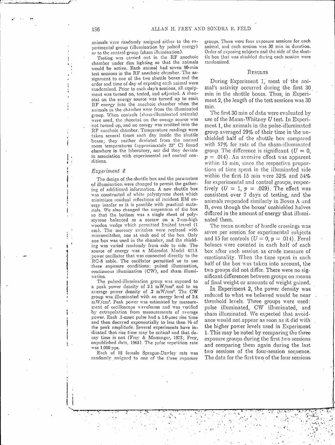animals were randomly assigned either to the experimental group (illumination by pulsed energy) or to the control group (sham illumination).

Testing was carried out in the RF anechoic chamber under dim lighting so that the animals would be active. Each animal had seven 90-min test sessions in the RF anechoic chamber. The assignment to one of the two shuttle boxes and the order and time of day of exposing each animal were randomized. Prior to each day's sessions, all equipment was turned on, tested, and adjusted. A rheostat on the energy source was turned up to emit RF energy into the anechoic chamber when the animals in the chamber were from the illuminated group. When controls (sham-illuminated animals) were used, the rheostat on the energy source was not turned up, and no energy was emitted into the RF anechoic chamber. Temperature readings were taken several times each day inside the shuttle boxes; they neither deviated from the normal room temperatures (approximately 22° C) found elsewhere in the laboratory, nor did they deviate in association with experimental and control conditions.

### *Experiment 2*

f i i r<br>Fransk skrivet<br>Fransk skrivet

~  $\frac{1}{2}$ I l ' I

The design of the shuttle box and the parameters of illumination were changed to permit the gathering of additional information. A new shuttle box was constructed of white polystyrene sheet which minimizes residual reflections of incident EM energy insofar as it is possible with practical- materials. We also changed the suspension of the box so that the bottom was a single sheet of polystyrene balanced as a seesaw on a 2-cm-high wooden wedge which permitted limited travel  $(1)$ cm). The mercury switches were replaced with rnicroswitches, one at each end of the box. Only one box was used in the chamber, and the shielding was varied randomly from side to side. The source of energy was a Microdot Model 411A power oscillator that was connected directly to the RG-8 cable. The oscillator permitted us to use three exposure conditions: pulsed illumination, continuous illumination (CW), and sham illumination.

The pulsed-illumination group was exposed to a peak power density of  $2.1 \text{ mW/cm}^2$  and to an average power density of  $.2 \, \text{mW/cm}^2$ . The CW group was illuminated with an energy level of 2.4 mW/cm<sup>2</sup>. Peak power was estimated by measurement of oscilloscope waveforms and was verified by extrapolation from measurements of average power. Each .5-msec pulse had a 1.0-µsec rise time and then decayed exponentially to less than ½ of the peak amplitude. Several experiments have in- 'dicated that rise time may be critical and that decay time is not (Frey & Messenger, 1973; Frey, unpublished data, 1965). The pulse repetition rate was 1,000 pps.

Each of 18 female Sprague-Dawley rats was randomly assigned to one of the three exposure

groups. There were four exposure sessions for each animal, and each session was 30 min in duration. Order of exposing subjects and the side of the shuttle box that was shielded during each session were randomized.

#### RESULTS

During Experiment 1, most of the animal's activity occurred during the first 30. min in the shuttle boxes. Thus, in Experiment 2, the length of the test sessions was  $30$ min.

The first 30 min of data were evaluated by use of the Mann-Whitney  $U$  test. In Experiment 1, the animals in the pulse-illuminated group averaged 29% of their time in the unshielded half of the shuttle box compared with 57% for rats of the sham-illuminated group. The difference is significant ( $U = 0$ ,  $p = .014$ ). An aversive effect was apparent within 15 min, since the respective proportions of time spent in the illuminated side within the first 15 min were  $32\%$  and  $54\%$ for experimental and control groups, respectively  $(U = 1, p = .029)$ . The effect was consistent over 7 days of testing, and the animals responded similarly in Boxes **A** and B, even though the boxes' unshielded halves differed in the amount of energy that illuminated them.

The mean number of hurdle crossings was seven per session for experimental subjects and 15 for controls  $(U = 0, p = .014)$ . Fecal boluses were counted in each half of each box after each session as crude measure of emotionality. \Vhen the time spent in each half of the box was taken into account, the two groups did not differ. There were no significant differences between groups on means of final weight or amounts of weight gained.

In Experiment 2, the power density was reduced to what we believed would be near threshold levels. Three groups were used: pulse illuminated, CW illuminated, and sham illuminated. We expected that avoidance would not appear as soon as it did with the higher power levels used in Experiment 1. This may be noted by comparing the three exposure groups during the first two sessions and comparing them again during the last two sessions of the four-session sequence. The data for the first two of the four sessions

,::\_--i·. \_,..., ~ op: ,~==r=.,:;.; •CCVJ:. ,4v'¢\_ l

f,'•

 $\sim$   $\sim$   $\sim$   $\sim$   $\sim$   $\sim$ 

<sup>~</sup>.i .....

 $\mathbb{R}^n$ 

.-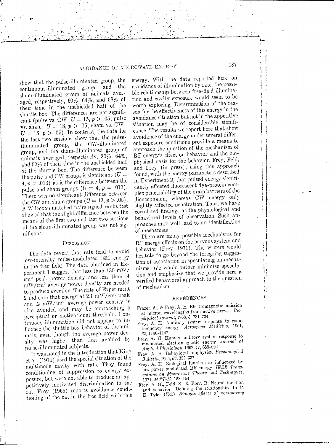# AVOIDANCE OF MICROWAVE ENERGY

show that the pulse-illuminated group, the continuous-illuminated group, and the sham-illuminated group of animals averaged, respectively, 60%, 64%, and 58% of their time in the unshielded half of the shuttle box. The differences are not significant (pulse vs. CW:  $U = 15, p > .05$ ; pulse vs. sham:  $U = 18$ ,  $p > .05$ ; sham vs. CW:  $U = 18, p > .05$ ). In contrast, the data for the last two sessions show that the pulseilluminated group, the CW-illuminated group, and the sham-illuminated group of animals averaged, respectively, 30%, 64%, and 52% of their time in the unshielded half of the shuttle box. The difference between the pulse and CW groups is significant  $(U =$ 4,  $p = .013$ ) as is the difference between the pulse and sham groups  $(U = 4, p = .013)$ . There was no significant difference between the CW and sham groups  $(U = 13, p > .05)$ . A Wilcoxon matched-pairs signed-ranks test showed that the slight difference between the means of the first two and last two sessions of the sham-illuminated group was not significant.

### DISCUSSION

The data reveal that rats tend to avoid low-intensity pulse-modulated EM energy in the free field. The data obtained in Experiment 1 suggest that less than 130 mW/ cm<sup>2</sup> peak power density and less than .4 mW/cm2 average power density are needed to produce aversion. The data of Experiment 2 indicate that energy at 2.1 mW/cm<sup>2</sup> peak and .2 mW/cm<sup>2</sup> average power density is also avoided and may be approaching a perceptual or motivational threshold. Continuous illumination did not appear to influence the shuttle box behavior of the animals, even though the average power density was higher than that avoided by pulse-illuminated subjects.

It was noted in the introduction that King et al. (1971) used the special situation of the multimode cavity with rats. They found conditioning of suppression to energy exposure, but were not able to produce an appetitively motivated discrimination in the rat. Frey (1965) reports avoidance conditioning of the eat in the free field with this

energy. With the data reported here on avoidance of illumination by rats, the possible relationship between free-field illumination and cavity exposure would seem to be worth exploring. Determination of the reason for the effectiveness of this energy in the avoidance situation but not in the appetitive situation may be of considerable significance. The results we report here that show avoidance of the energy under several different exposure conditions provide a means to approach the question of the mechanism of RF energy's effect on behavior and the biophysical basis for the behavior. Frey, Feld, and Frey (in press), using this approach found, with the energy parameters described in Experiment 2, that pulsed energy significantly affected fluorescent dye-protein complex penetrability of the brain barriers of the diencephalon, whereas CW energy only slightly affected penetration. Thus, we have correlated findings at the physiological and behavioral levels of observation. Such approaches may well lead to an identification of mechanism.

There are many possible mechanisms for RF energy effects on the nervous system and behavior (Frey, 1971). The writers would hesitate to go beyond the foregoing suggestion of association in speculating on mechanisms. We would rather minimize speculation and emphasize that we provide here a verified behavioral approach to the question of mechanism.

## **REFERENCES**

- Frazer, A., & Frey, A. H. Electromagnetic emission at micron wavelengths from active nerves. Biophysical Journal, 1968, 8, 731-734.
- Frey, A. H. Auditory system response to radio frequency energy. Aerospace Medicine, 1961, 32, 1140-1142.
- Frey, A. H. Human auditory system response to modulated electromagnetic energy. Journal of Applied Physiology, 1962, 17, 689-692.
- Frey, A. H. Behavioral biophysics. Psychological Bulletin, 1965, 63, 322-337.
- Frey, A. H. Biological function as influenced by low-power modulated RF energy. IEEE Transactions on Microwave Theory and Techniques, 1971, MTT-19, 153-164.
- Frey, A. H., Feld, S., & Frey, B. Neural function and behavior: Defining the relationship. In P. E. Tyler (Ed.), Biologic effects of nonionizing